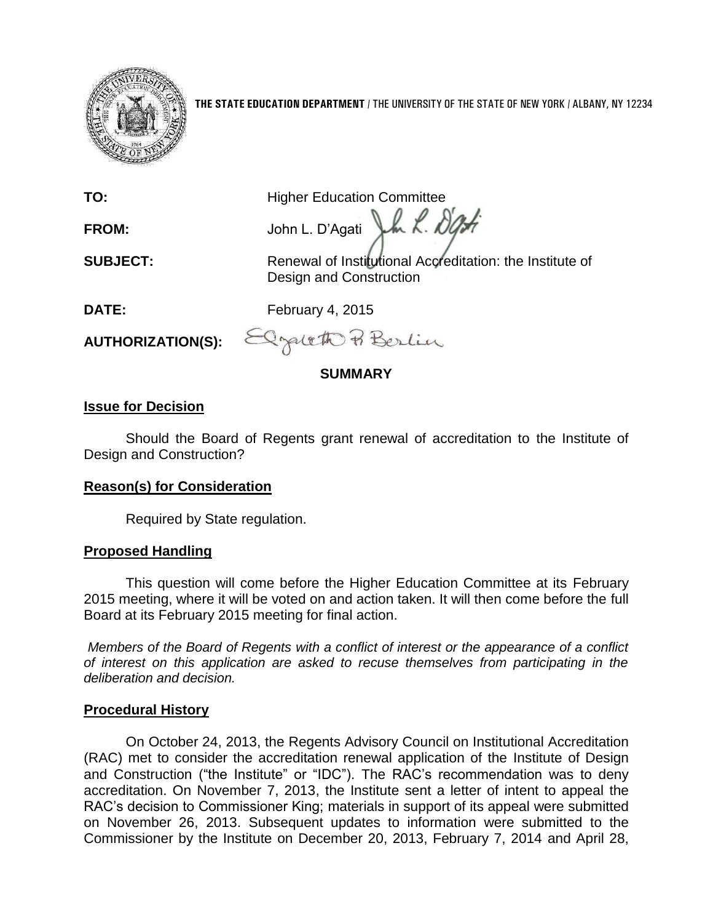

**THE STATE EDUCATION DEPARTMENT** / THE UNIVERSITY OF THE STATE OF NEW YORK / ALBANY, NY 12234

**TO:** Higher Education Committee

**FROM:** John L. D'Agati J.h. K. DO

**SUBJECT:** Renewal of Institutional Accreditation: the Institute of Design and Construction

**DATE:** February 4, 2015

**AUTHORIZATION(S):**

Pracett Berlin

**SUMMARY**

# **Issue for Decision**

Should the Board of Regents grant renewal of accreditation to the Institute of Design and Construction?

# **Reason(s) for Consideration**

Required by State regulation.

## **Proposed Handling**

This question will come before the Higher Education Committee at its February 2015 meeting, where it will be voted on and action taken. It will then come before the full Board at its February 2015 meeting for final action.

*Members of the Board of Regents with a conflict of interest or the appearance of a conflict of interest on this application are asked to recuse themselves from participating in the deliberation and decision.*

## **Procedural History**

On October 24, 2013, the Regents Advisory Council on Institutional Accreditation (RAC) met to consider the accreditation renewal application of the Institute of Design and Construction ("the Institute" or "IDC"). The RAC's recommendation was to deny accreditation. On November 7, 2013, the Institute sent a letter of intent to appeal the RAC's decision to Commissioner King; materials in support of its appeal were submitted on November 26, 2013. Subsequent updates to information were submitted to the Commissioner by the Institute on December 20, 2013, February 7, 2014 and April 28,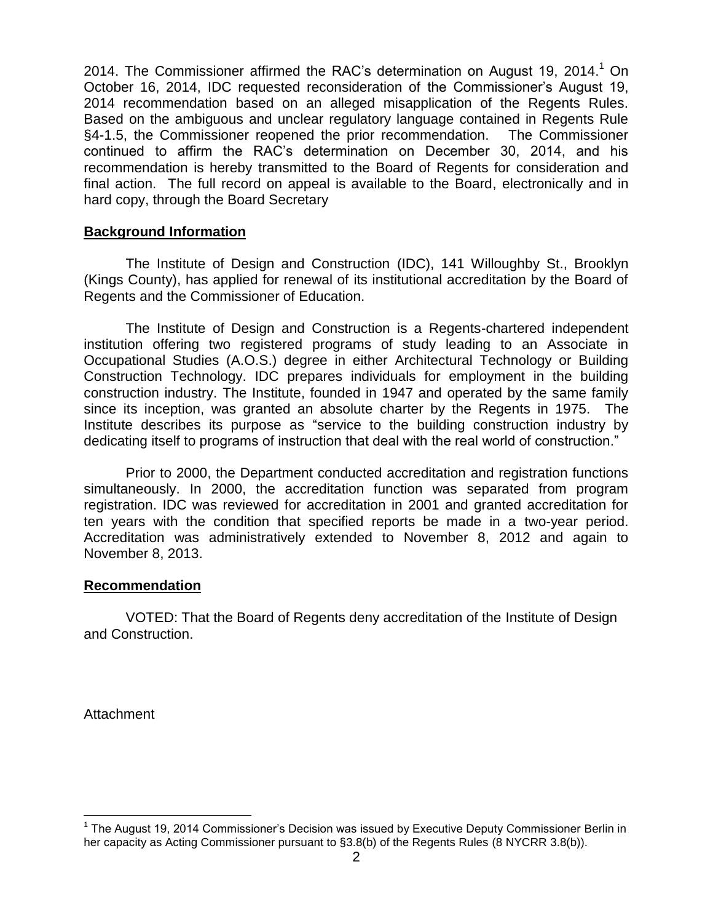2014. The Commissioner affirmed the RAC's determination on August 19, 2014.<sup>1</sup> On October 16, 2014, IDC requested reconsideration of the Commissioner's August 19, 2014 recommendation based on an alleged misapplication of the Regents Rules. Based on the ambiguous and unclear regulatory language contained in Regents Rule §4-1.5, the Commissioner reopened the prior recommendation. The Commissioner continued to affirm the RAC's determination on December 30, 2014, and his recommendation is hereby transmitted to the Board of Regents for consideration and final action. The full record on appeal is available to the Board, electronically and in hard copy, through the Board Secretary

#### **Background Information**

The Institute of Design and Construction (IDC), 141 Willoughby St., Brooklyn (Kings County), has applied for renewal of its institutional accreditation by the Board of Regents and the Commissioner of Education.

The Institute of Design and Construction is a Regents-chartered independent institution offering two registered programs of study leading to an Associate in Occupational Studies (A.O.S.) degree in either Architectural Technology or Building Construction Technology. IDC prepares individuals for employment in the building construction industry. The Institute, founded in 1947 and operated by the same family since its inception, was granted an absolute charter by the Regents in 1975. The Institute describes its purpose as "service to the building construction industry by dedicating itself to programs of instruction that deal with the real world of construction."

Prior to 2000, the Department conducted accreditation and registration functions simultaneously. In 2000, the accreditation function was separated from program registration. IDC was reviewed for accreditation in 2001 and granted accreditation for ten years with the condition that specified reports be made in a two-year period. Accreditation was administratively extended to November 8, 2012 and again to November 8, 2013.

### **Recommendation**

VOTED: That the Board of Regents deny accreditation of the Institute of Design and Construction.

**Attachment** 

 $\overline{a}$ 

<sup>&</sup>lt;sup>1</sup> The August 19, 2014 Commissioner's Decision was issued by Executive Deputy Commissioner Berlin in her capacity as Acting Commissioner pursuant to §3.8(b) of the Regents Rules (8 NYCRR 3.8(b)).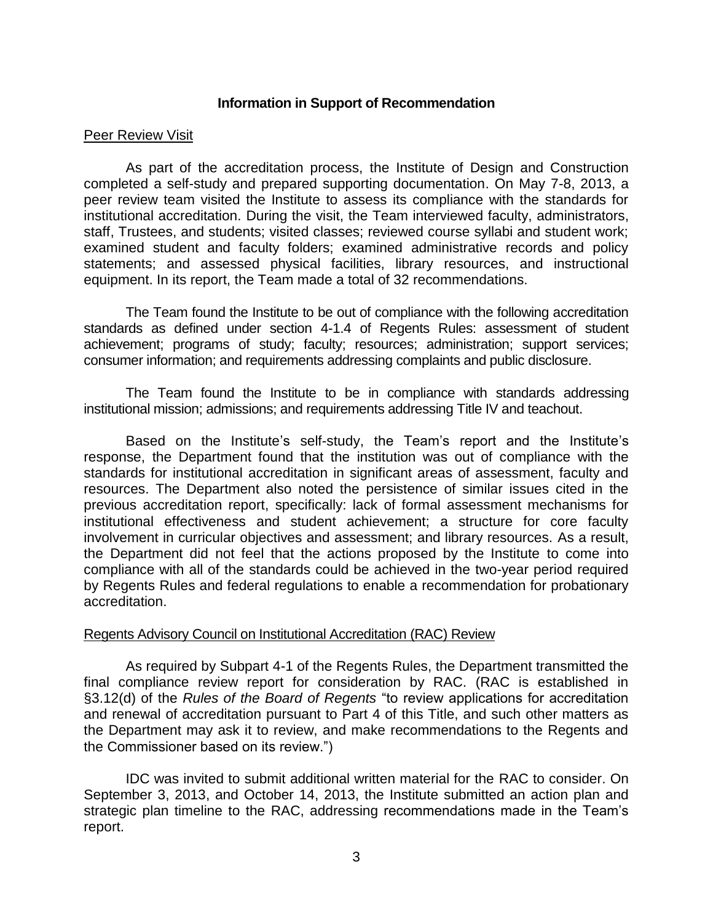#### **Information in Support of Recommendation**

#### Peer Review Visit

As part of the accreditation process, the Institute of Design and Construction completed a self-study and prepared supporting documentation. On May 7-8, 2013, a peer review team visited the Institute to assess its compliance with the standards for institutional accreditation. During the visit, the Team interviewed faculty, administrators, staff, Trustees, and students; visited classes; reviewed course syllabi and student work; examined student and faculty folders; examined administrative records and policy statements; and assessed physical facilities, library resources, and instructional equipment. In its report, the Team made a total of 32 recommendations.

The Team found the Institute to be out of compliance with the following accreditation standards as defined under section 4-1.4 of Regents Rules: assessment of student achievement; programs of study; faculty; resources; administration; support services; consumer information; and requirements addressing complaints and public disclosure.

The Team found the Institute to be in compliance with standards addressing institutional mission; admissions; and requirements addressing Title IV and teachout.

Based on the Institute's self-study, the Team's report and the Institute's response, the Department found that the institution was out of compliance with the standards for institutional accreditation in significant areas of assessment, faculty and resources. The Department also noted the persistence of similar issues cited in the previous accreditation report, specifically: lack of formal assessment mechanisms for institutional effectiveness and student achievement; a structure for core faculty involvement in curricular objectives and assessment; and library resources. As a result, the Department did not feel that the actions proposed by the Institute to come into compliance with all of the standards could be achieved in the two-year period required by Regents Rules and federal regulations to enable a recommendation for probationary accreditation.

#### Regents Advisory Council on Institutional Accreditation (RAC) Review

As required by Subpart 4-1 of the Regents Rules, the Department transmitted the final compliance review report for consideration by RAC. (RAC is established in §3.12(d) of the *Rules of the Board of Regents* "to review applications for accreditation and renewal of accreditation pursuant to Part 4 of this Title, and such other matters as the Department may ask it to review, and make recommendations to the Regents and the Commissioner based on its review.")

IDC was invited to submit additional written material for the RAC to consider. On September 3, 2013, and October 14, 2013, the Institute submitted an action plan and strategic plan timeline to the RAC, addressing recommendations made in the Team's report.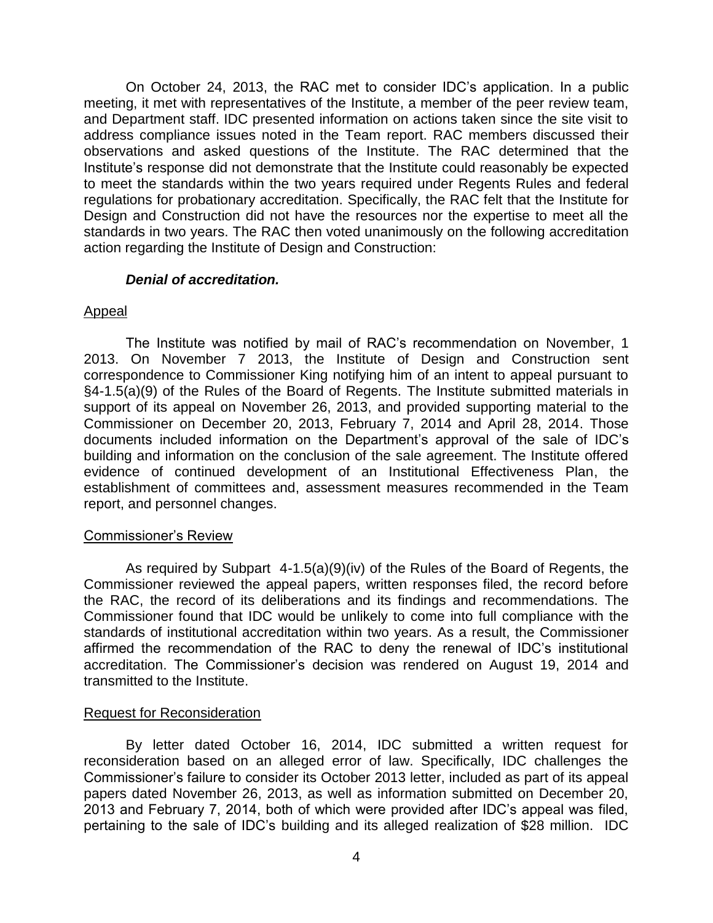On October 24, 2013, the RAC met to consider IDC's application. In a public meeting, it met with representatives of the Institute, a member of the peer review team, and Department staff. IDC presented information on actions taken since the site visit to address compliance issues noted in the Team report. RAC members discussed their observations and asked questions of the Institute. The RAC determined that the Institute's response did not demonstrate that the Institute could reasonably be expected to meet the standards within the two years required under Regents Rules and federal regulations for probationary accreditation. Specifically, the RAC felt that the Institute for Design and Construction did not have the resources nor the expertise to meet all the standards in two years. The RAC then voted unanimously on the following accreditation action regarding the Institute of Design and Construction:

#### *Denial of accreditation.*

### Appeal

The Institute was notified by mail of RAC's recommendation on November, 1 2013. On November 7 2013, the Institute of Design and Construction sent correspondence to Commissioner King notifying him of an intent to appeal pursuant to §4-1.5(a)(9) of the Rules of the Board of Regents. The Institute submitted materials in support of its appeal on November 26, 2013, and provided supporting material to the Commissioner on December 20, 2013, February 7, 2014 and April 28, 2014. Those documents included information on the Department's approval of the sale of IDC's building and information on the conclusion of the sale agreement. The Institute offered evidence of continued development of an Institutional Effectiveness Plan, the establishment of committees and, assessment measures recommended in the Team report, and personnel changes.

#### Commissioner's Review

As required by Subpart 4-1.5(a)(9)(iv) of the Rules of the Board of Regents, the Commissioner reviewed the appeal papers, written responses filed, the record before the RAC, the record of its deliberations and its findings and recommendations. The Commissioner found that IDC would be unlikely to come into full compliance with the standards of institutional accreditation within two years. As a result, the Commissioner affirmed the recommendation of the RAC to deny the renewal of IDC's institutional accreditation. The Commissioner's decision was rendered on August 19, 2014 and transmitted to the Institute.

#### Request for Reconsideration

By letter dated October 16, 2014, IDC submitted a written request for reconsideration based on an alleged error of law. Specifically, IDC challenges the Commissioner's failure to consider its October 2013 letter, included as part of its appeal papers dated November 26, 2013, as well as information submitted on December 20, 2013 and February 7, 2014, both of which were provided after IDC's appeal was filed, pertaining to the sale of IDC's building and its alleged realization of \$28 million. IDC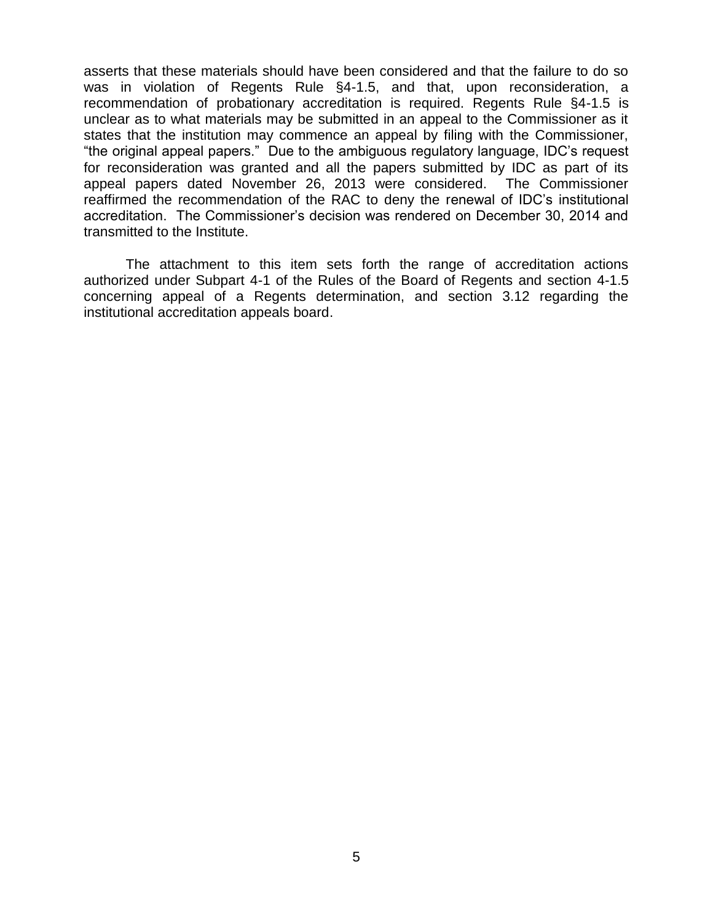asserts that these materials should have been considered and that the failure to do so was in violation of Regents Rule §4-1.5, and that, upon reconsideration, a recommendation of probationary accreditation is required. Regents Rule §4-1.5 is unclear as to what materials may be submitted in an appeal to the Commissioner as it states that the institution may commence an appeal by filing with the Commissioner, "the original appeal papers." Due to the ambiguous regulatory language, IDC's request for reconsideration was granted and all the papers submitted by IDC as part of its appeal papers dated November 26, 2013 were considered. The Commissioner reaffirmed the recommendation of the RAC to deny the renewal of IDC's institutional accreditation. The Commissioner's decision was rendered on December 30, 2014 and transmitted to the Institute.

The attachment to this item sets forth the range of accreditation actions authorized under Subpart 4-1 of the Rules of the Board of Regents and section 4-1.5 concerning appeal of a Regents determination, and section 3.12 regarding the institutional accreditation appeals board.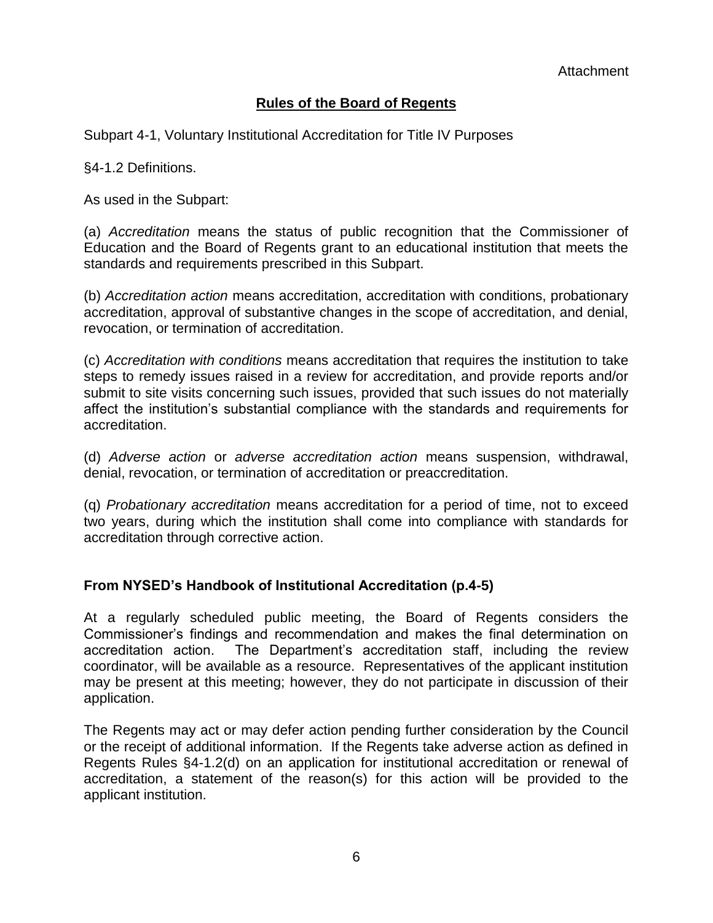## **Rules of the Board of Regents**

Subpart 4-1, Voluntary Institutional Accreditation for Title IV Purposes

§4-1.2 Definitions.

As used in the Subpart:

(a) *Accreditation* means the status of public recognition that the Commissioner of Education and the Board of Regents grant to an educational institution that meets the standards and requirements prescribed in this Subpart.

(b) *Accreditation action* means accreditation, accreditation with conditions, probationary accreditation, approval of substantive changes in the scope of accreditation, and denial, revocation, or termination of accreditation.

(c) *Accreditation with conditions* means accreditation that requires the institution to take steps to remedy issues raised in a review for accreditation, and provide reports and/or submit to site visits concerning such issues, provided that such issues do not materially affect the institution's substantial compliance with the standards and requirements for accreditation.

(d) *Adverse action* or *adverse accreditation action* means suspension, withdrawal, denial, revocation, or termination of accreditation or preaccreditation.

(q) *Probationary accreditation* means accreditation for a period of time, not to exceed two years, during which the institution shall come into compliance with standards for accreditation through corrective action.

## **From NYSED's Handbook of Institutional Accreditation (p.4-5)**

At a regularly scheduled public meeting, the Board of Regents considers the Commissioner's findings and recommendation and makes the final determination on accreditation action. The Department's accreditation staff, including the review coordinator, will be available as a resource. Representatives of the applicant institution may be present at this meeting; however, they do not participate in discussion of their application.

The Regents may act or may defer action pending further consideration by the Council or the receipt of additional information. If the Regents take adverse action as defined in Regents Rules §4-1.2(d) on an application for institutional accreditation or renewal of accreditation, a statement of the reason(s) for this action will be provided to the applicant institution.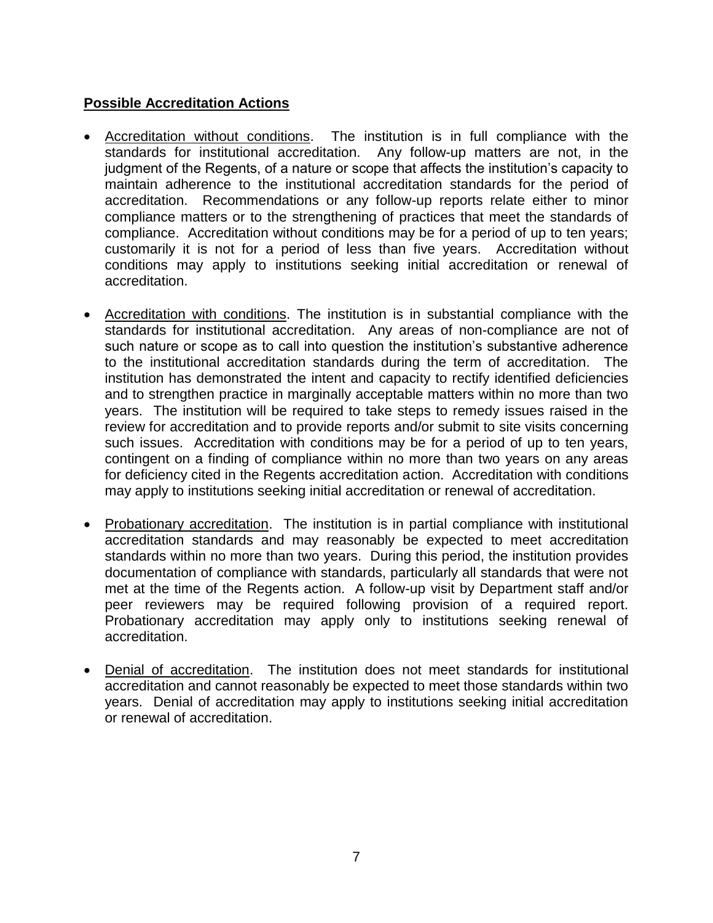### **Possible Accreditation Actions**

- Accreditation without conditions. The institution is in full compliance with the standards for institutional accreditation. Any follow-up matters are not, in the judgment of the Regents, of a nature or scope that affects the institution's capacity to maintain adherence to the institutional accreditation standards for the period of accreditation. Recommendations or any follow-up reports relate either to minor compliance matters or to the strengthening of practices that meet the standards of compliance. Accreditation without conditions may be for a period of up to ten years; customarily it is not for a period of less than five years. Accreditation without conditions may apply to institutions seeking initial accreditation or renewal of accreditation.
- Accreditation with conditions. The institution is in substantial compliance with the standards for institutional accreditation. Any areas of non-compliance are not of such nature or scope as to call into question the institution's substantive adherence to the institutional accreditation standards during the term of accreditation. The institution has demonstrated the intent and capacity to rectify identified deficiencies and to strengthen practice in marginally acceptable matters within no more than two years. The institution will be required to take steps to remedy issues raised in the review for accreditation and to provide reports and/or submit to site visits concerning such issues. Accreditation with conditions may be for a period of up to ten years, contingent on a finding of compliance within no more than two years on any areas for deficiency cited in the Regents accreditation action. Accreditation with conditions may apply to institutions seeking initial accreditation or renewal of accreditation.
- Probationary accreditation. The institution is in partial compliance with institutional accreditation standards and may reasonably be expected to meet accreditation standards within no more than two years. During this period, the institution provides documentation of compliance with standards, particularly all standards that were not met at the time of the Regents action. A follow-up visit by Department staff and/or peer reviewers may be required following provision of a required report. Probationary accreditation may apply only to institutions seeking renewal of accreditation.
- Denial of accreditation. The institution does not meet standards for institutional accreditation and cannot reasonably be expected to meet those standards within two years. Denial of accreditation may apply to institutions seeking initial accreditation or renewal of accreditation.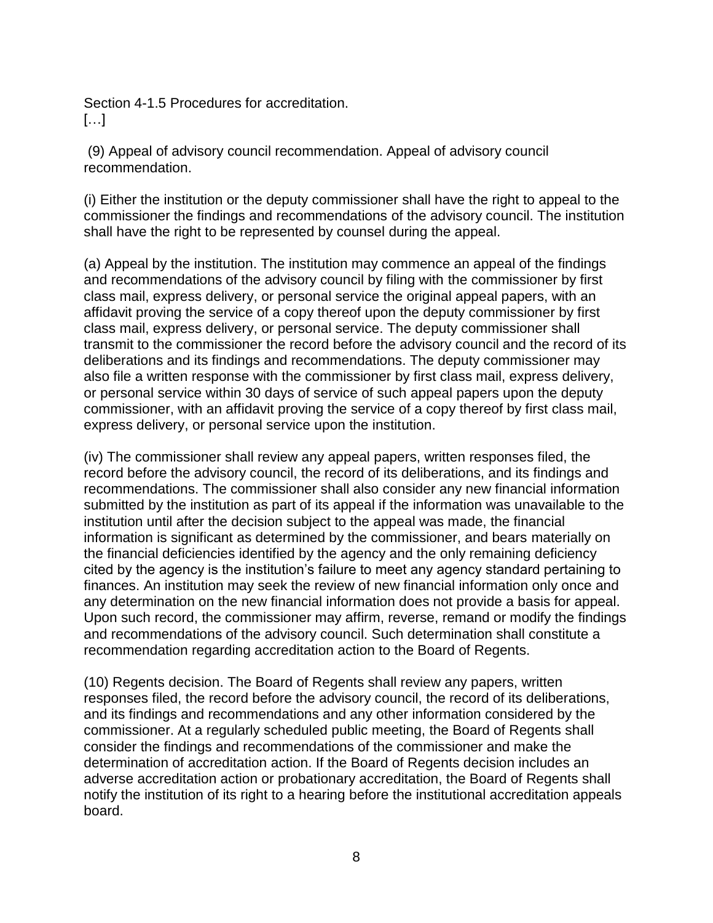Section 4-1.5 Procedures for accreditation. […]

(9) Appeal of advisory council recommendation. Appeal of advisory council recommendation.

(i) Either the institution or the deputy commissioner shall have the right to appeal to the commissioner the findings and recommendations of the advisory council. The institution shall have the right to be represented by counsel during the appeal.

(a) Appeal by the institution. The institution may commence an appeal of the findings and recommendations of the advisory council by filing with the commissioner by first class mail, express delivery, or personal service the original appeal papers, with an affidavit proving the service of a copy thereof upon the deputy commissioner by first class mail, express delivery, or personal service. The deputy commissioner shall transmit to the commissioner the record before the advisory council and the record of its deliberations and its findings and recommendations. The deputy commissioner may also file a written response with the commissioner by first class mail, express delivery, or personal service within 30 days of service of such appeal papers upon the deputy commissioner, with an affidavit proving the service of a copy thereof by first class mail, express delivery, or personal service upon the institution.

(iv) The commissioner shall review any appeal papers, written responses filed, the record before the advisory council, the record of its deliberations, and its findings and recommendations. The commissioner shall also consider any new financial information submitted by the institution as part of its appeal if the information was unavailable to the institution until after the decision subject to the appeal was made, the financial information is significant as determined by the commissioner, and bears materially on the financial deficiencies identified by the agency and the only remaining deficiency cited by the agency is the institution's failure to meet any agency standard pertaining to finances. An institution may seek the review of new financial information only once and any determination on the new financial information does not provide a basis for appeal. Upon such record, the commissioner may affirm, reverse, remand or modify the findings and recommendations of the advisory council. Such determination shall constitute a recommendation regarding accreditation action to the Board of Regents.

(10) Regents decision. The Board of Regents shall review any papers, written responses filed, the record before the advisory council, the record of its deliberations, and its findings and recommendations and any other information considered by the commissioner. At a regularly scheduled public meeting, the Board of Regents shall consider the findings and recommendations of the commissioner and make the determination of accreditation action. If the Board of Regents decision includes an adverse accreditation action or probationary accreditation, the Board of Regents shall notify the institution of its right to a hearing before the institutional accreditation appeals board.